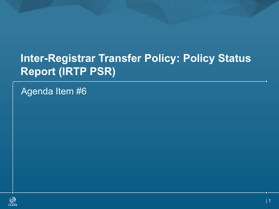# **Inter-Registrar Transfer Policy: Policy Status Report (IRTP PSR)**

Agenda Item #6

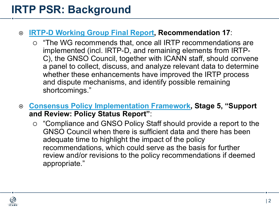#### ¤ **[IRTP-D Working Group Final Report,](https://gnso.icann.org/sites/default/files/filefield_46639/irtp-d-final-25sep14-en.pdf) Recommendation 17**:

- $\circ$  "The WG recommends that, once all IRTP recommendations are implemented (incl. IRTP-D, and remaining elements from IRTP-C), the GNSO Council, together with ICANN staff, should convene a panel to collect, discuss, and analyze relevant data to determine whether these enhancements have improved the IRTP process and dispute mechanisms, and identify possible remaining shortcomings."
- ¤ **[Consensus Policy Implementation Framework,](https://www.icann.org/en/system/files/files/gdd-consensus-policy-implementation-framework-31may15-en.pdf) Stage 5, "Support and Review: Policy Status Report"**:
	- $\circ$  "Compliance and GNSO Policy Staff should provide a report to the GNSO Council when there is sufficient data and there has been adequate time to highlight the impact of the policy recommendations, which could serve as the basis for further review and/or revisions to the policy recommendations if deemed appropriate."

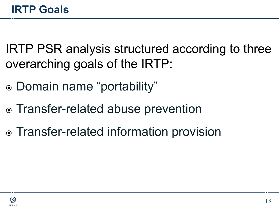IRTP PSR analysis structured according to three overarching goals of the IRTP:

- ⦿ Domain name "portability"
- ⦿ Transfer-related abuse prevention
- ⦿ Transfer-related information provision

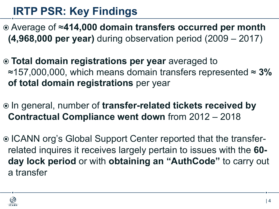# **IRTP PSR: Key Findings**

- ⦿ Average of ≈**414,000 domain transfers occurred per month (4,968,000 per year)** during observation period (2009 – 2017)
- ⦿ **Total domain registrations per year** averaged to ≈157,000,000, which means domain transfers represented ≈ **3% of total domain registrations** per year
- ⦿ In general, number of **transfer-related tickets received by Contractual Compliance went down** from 2012 – 2018
- ⦿ ICANN org's Global Support Center reported that the transferrelated inquires it receives largely pertain to issues with the **60 day lock period** or with **obtaining an "AuthCode"** to carry out a transfer

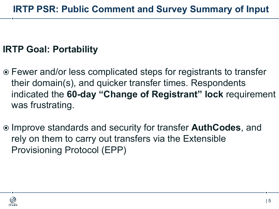### **IRTP Goal: Portability**

- ⦿ Fewer and/or less complicated steps for registrants to transfer their domain(s), and quicker transfer times. Respondents indicated the **60-day "Change of Registrant" lock** requirement was frustrating.
- ⦿ Improve standards and security for transfer **AuthCodes**, and rely on them to carry out transfers via the Extensible Provisioning Protocol (EPP)

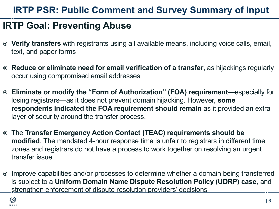### **IRTP Goal: Preventing Abuse**

- ⦿ **Verify transfers** with registrants using all available means, including voice calls, email, text, and paper forms
- ⦿ **Reduce or eliminate need for email verification of a transfer**, as hijackings regularly occur using compromised email addresses
- ⦿ **Eliminate or modify the "Form of Authorization" (FOA) requirement**—especially for losing registrars—as it does not prevent domain hijacking. However, **some respondents indicated the FOA requirement should remain** as it provided an extra layer of security around the transfer process.
- ⦿ The **Transfer Emergency Action Contact (TEAC) requirements should be modified**. The mandated 4-hour response time is unfair to registrars in different time zones and registrars do not have a process to work together on resolving an urgent transfer issue.
- ⦿ Improve capabilities and/or processes to determine whether a domain being transferred is subject to a **Uniform Domain Name Dispute Resolution Policy (UDRP) case**, and strengthen enforcement of dispute resolution providers' decisions

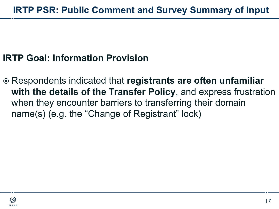### **IRTP Goal: Information Provision**

⦿ Respondents indicated that **registrants are often unfamiliar with the details of the Transfer Policy**, and express frustration when they encounter barriers to transferring their domain name(s) (e.g. the "Change of Registrant" lock)

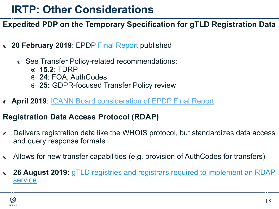## **IRTP: Other Considerations**

#### **Expedited PDP on the Temporary Specification for gTLD Registration Data**

- ⦿ **20 February 2019**: EPDP [Final Report](https://gnso.icann.org/sites/default/files/file/field-file-attach/epdp-gtld-registration-data-specs-final-20feb19-en.pdf) published
	- ⦿ See Transfer Policy-related recommendations:
		- ⦿ **15.2**: TDRP
		- ⦿ **24**: FOA, AuthCodes
		- ⦿ **25:** GDPR-focused Transfer Policy review
- ⦿ **April 2019**: [ICANN Board consideration of EPDP Final Report](https://community.icann.org/pages/viewpage.action?pageId=88574682&preview=/88574682/99484840/EPDP_summary_timeline_20181204.pdf)

#### **Registration Data Access Protocol (RDAP)**

- ⦿ Delivers registration data like the WHOIS protocol, but standardizes data access and query response formats
- ⦿ Allows for new transfer capabilities (e.g. provision of AuthCodes for transfers)
- ⦿ **26 August 2019:** gTLD [registries and registrars required to implement an RDAP](https://www.icann.org/rdap)  service

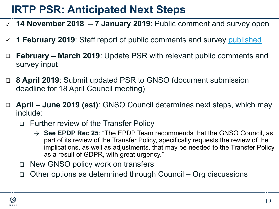## **IRTP PSR: Anticipated Next Steps**

- ✓ **14 November 2018 – 7 January 2019**: Public comment and survey open
- ü **1 February 2019**: Staff report of public comments and survey [published](https://www.icann.org/en/system/files/files/report-comments-irtp-status-01feb19-en.pdf)
- q **February – March 2019**: Update PSR with relevant public comments and survey input
- q **8 April 2019**: Submit updated PSR to GNSO (document submission deadline for 18 April Council meeting)
- q **April – June 2019 (est)**: GNSO Council determines next steps, which may include:
	- q Further review of the Transfer Policy
		- $\rightarrow$  **See EPDP Rec 25**: "The EPDP Team recommends that the GNSO Council, as part of its review of the Transfer Policy, specifically requests the review of the implications, as well as adjustments, that may be needed to the Transfer Policy as a result of GDPR, with great urgency."
	- □ New GNSO policy work on transfers
	- q Other options as determined through Council Org discussions